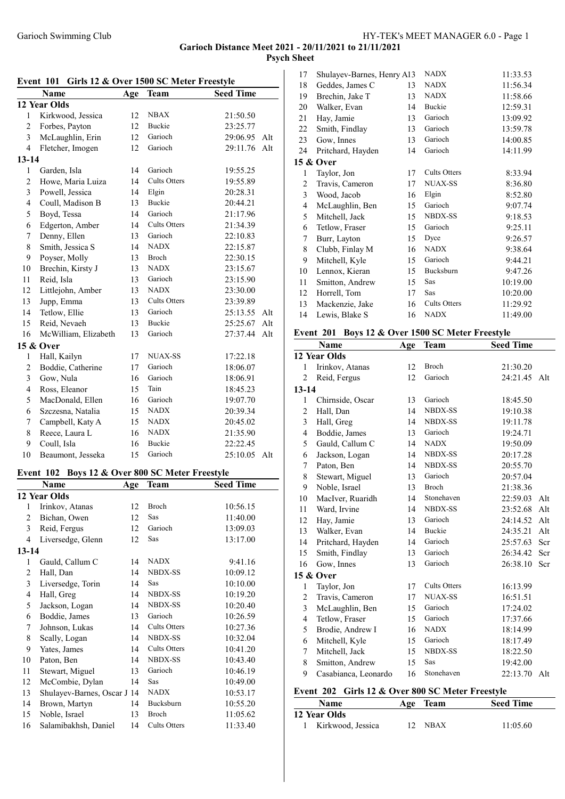## Garioch Distance Meet 2021 - 20/11/2021 to 21/11/2021 Psych Sheet

| Girls 12 & Over 1500 SC Meter Freestyle<br>Event 101 |                                                    |     |                                 |                  |     |  |
|------------------------------------------------------|----------------------------------------------------|-----|---------------------------------|------------------|-----|--|
|                                                      | Name                                               | Age | <b>Team</b>                     | <b>Seed Time</b> |     |  |
|                                                      | 12 Year Olds                                       |     |                                 |                  |     |  |
| $\mathbf{1}$                                         | Kirkwood, Jessica                                  | 12  | <b>NBAX</b>                     | 21:50.50         |     |  |
| $\overline{c}$                                       | Forbes, Payton                                     | 12  | Buckie                          | 23:25.77         |     |  |
| 3                                                    | McLaughlin, Erin                                   | 12  | Garioch                         | 29:06.95         | Alt |  |
| $\overline{4}$                                       | Fletcher, Imogen                                   | 12  | Garioch                         | 29:11.76         | Alt |  |
| $13 - 14$                                            |                                                    |     |                                 |                  |     |  |
| 1                                                    | Garden, Isla                                       | 14  | Garioch                         | 19:55.25         |     |  |
| $\overline{c}$                                       | Howe, Maria Luiza                                  | 14  | <b>Cults Otters</b>             | 19:55.89         |     |  |
| $\overline{\mathbf{3}}$                              | Powell, Jessica                                    | 14  | Elgin                           | 20:28.31         |     |  |
| $\overline{\mathbf{4}}$                              | Coull, Madison B                                   | 13  | Buckie                          | 20:44.21         |     |  |
| 5                                                    | Boyd, Tessa                                        | 14  | Garioch                         | 21:17.96         |     |  |
| 6                                                    | Edgerton, Amber                                    | 14  | <b>Cults Otters</b>             | 21:34.39         |     |  |
|                                                      |                                                    | 13  | Garioch                         |                  |     |  |
| 7                                                    | Denny, Ellen                                       |     |                                 | 22:10.83         |     |  |
| 8                                                    | Smith, Jessica S                                   | 14  | <b>NADX</b>                     | 22:15.87         |     |  |
| 9                                                    | Poyser, Molly                                      | 13  | Broch                           | 22:30.15         |     |  |
| 10                                                   | Brechin, Kirsty J                                  | 13  | <b>NADX</b>                     | 23:15.67         |     |  |
| 11                                                   | Reid, Isla                                         | 13  | Garioch                         | 23:15.90         |     |  |
| 12                                                   | Littlejohn, Amber                                  | 13  | <b>NADX</b>                     | 23:30.00         |     |  |
| 13                                                   | Jupp, Emma                                         | 13  | Cults Otters                    | 23:39.89         |     |  |
| 14                                                   | Tetlow, Ellie                                      | 13  | Garioch                         | 25:13.55         | Alt |  |
| 15                                                   | Reid, Nevaeh                                       | 13  | Buckie                          | 25:25.67         | Alt |  |
| 16                                                   | McWilliam, Elizabeth                               | 13  | Garioch                         | 27:37.44         | Alt |  |
|                                                      | 15 & Over                                          |     |                                 |                  |     |  |
| $\mathbf{1}$                                         | Hall, Kailyn                                       | 17  | NUAX-SS                         | 17:22.18         |     |  |
| $\overline{c}$                                       | Boddie, Catherine                                  | 17  | Garioch                         | 18:06.07         |     |  |
| 3                                                    | Gow, Nula                                          | 16  | Garioch                         | 18:06.91         |     |  |
| $\overline{\mathcal{A}}$                             | Ross, Eleanor                                      | 15  | Tain                            | 18:45.23         |     |  |
| 5                                                    | MacDonald, Ellen                                   | 16  | Garioch                         | 19:07.70         |     |  |
| 6                                                    | Szczesna, Natalia                                  | 15  | <b>NADX</b>                     | 20:39.34         |     |  |
| 7                                                    |                                                    | 15  | <b>NADX</b>                     |                  |     |  |
|                                                      | Campbell, Katy A                                   |     |                                 | 20:45.02         |     |  |
| 8                                                    | Reece, Laura L                                     | 16  | <b>NADX</b>                     | 21:35.90         |     |  |
| 9                                                    | Coull, Isla                                        | 16  | <b>Buckie</b>                   | 22:22.45         |     |  |
| 10                                                   | Beaumont, Jesseka                                  | 15  | Garioch                         | 25:10.05         | Alt |  |
|                                                      | Boys 12 & Over 800 SC Meter Freestyle<br>Event 102 |     |                                 |                  |     |  |
|                                                      | <b>Name</b>                                        | Age | <b>Seed Time</b><br><b>Team</b> |                  |     |  |
|                                                      | 12 Year Olds                                       |     |                                 |                  |     |  |
| $\mathbf{1}$                                         | Irinkov, Atanas                                    | 12  | Broch                           | 10:56.15         |     |  |
| $\overline{\mathbf{c}}$                              | Bichan, Owen                                       | 12  | Sas                             | 11:40.00         |     |  |
| $\overline{\mathbf{3}}$                              | Reid, Fergus                                       | 12  | Garioch                         | 13:09.03         |     |  |
| $\overline{4}$                                       |                                                    | 12  | Sas                             |                  |     |  |
|                                                      | Liversedge, Glenn                                  |     |                                 | 13:17.00         |     |  |
| $13 - 14$                                            |                                                    |     |                                 |                  |     |  |
| $\mathbf{1}$                                         | Gauld, Callum C                                    | 14  | NADX                            | 9:41.16          |     |  |
| $\overline{c}$                                       | Hall, Dan                                          | 14  | NBDX-SS                         | 10:09.12         |     |  |
| $\overline{\mathbf{3}}$                              | Liversedge, Torin                                  | 14  | Sas                             | 10:10.00         |     |  |
| $\overline{4}$                                       | Hall, Greg                                         | 14  | NBDX-SS                         | 10:19.20         |     |  |
| 5                                                    | Jackson, Logan                                     | 14  | NBDX-SS                         | 10:20.40         |     |  |
| 6                                                    | Boddie, James                                      | 13  | Garioch                         | 10:26.59         |     |  |
| 7                                                    | Johnson, Lukas                                     | 14  | Cults Otters                    | 10:27.36         |     |  |
| 8                                                    | Scally, Logan                                      | 14  | <b>NBDX-SS</b>                  | 10:32.04         |     |  |
| 9                                                    | Yates, James                                       | 14  | Cults Otters                    | 10:41.20         |     |  |
| 10                                                   | Paton, Ben                                         | 14  | <b>NBDX-SS</b>                  | 10:43.40         |     |  |
| 11                                                   | Stewart, Miguel                                    | 13  | Garioch                         | 10:46.19         |     |  |
| 12                                                   | McCombie, Dylan                                    | 14  | Sas                             | 10:49.00         |     |  |
| 13                                                   | Shulayev-Barnes, Oscar J 14                        |     | <b>NADX</b>                     | 10:53.17         |     |  |
| 14                                                   | Brown, Martyn                                      | 14  | Bucksburn                       | 10:55.20         |     |  |
| 15                                                   | Noble, Israel                                      | 13  | Broch                           | 11:05.62         |     |  |
| 16                                                   | Salamibakhsh, Daniel                               | 14  | Cults Otters                    | 11:33.40         |     |  |
|                                                      |                                                    |     |                                 |                  |     |  |

| 17 | Shulayev-Barnes, Henry A13 |    | <b>NADX</b>         | 11:33.53 |
|----|----------------------------|----|---------------------|----------|
| 18 | Geddes, James C            | 13 | <b>NADX</b>         | 11:56.34 |
| 19 | Brechin, Jake T            | 13 | <b>NADX</b>         | 11:58.66 |
| 20 | Walker, Evan               | 14 | Buckie              | 12:59.31 |
| 21 | Hay, Jamie                 | 13 | Garioch             | 13:09.92 |
| 22 | Smith, Findlay             | 13 | Garioch             | 13:59.78 |
| 23 | Gow, Innes                 | 13 | Garioch             | 14:00.85 |
| 24 | Pritchard, Hayden          | 14 | Garioch             | 14:11.99 |
|    | <b>15 &amp; Over</b>       |    |                     |          |
| 1  | Taylor, Jon                | 17 | <b>Cults Otters</b> | 8:33.94  |
| 2  | Travis, Cameron            | 17 | <b>NUAX-SS</b>      | 8:36.80  |
| 3  | Wood, Jacob                | 16 | Elgin               | 8:52.80  |
| 4  | McLaughlin, Ben            | 15 | Garioch             | 9:07.74  |
| 5  | Mitchell, Jack             | 15 | <b>NBDX-SS</b>      | 9:18.53  |
| 6  | Tetlow, Fraser             | 15 | Garioch             | 9:25.11  |
| 7  | Burr, Layton               | 15 | Dyce                | 9:26.57  |
| 8  | Clubb, Finlay M            | 16 | <b>NADX</b>         | 9:38.64  |
| 9  | Mitchell, Kyle             | 15 | Garioch             | 9:44.21  |
| 10 | Lennox, Kieran             | 15 | Bucksburn           | 9:47.26  |
| 11 | Smitton, Andrew            | 15 | Sas                 | 10:19.00 |
| 12 | Horrell, Tom               | 17 | Sas                 | 10:20.00 |
| 13 | Mackenzie, Jake            | 16 | Cults Otters        | 11:29.92 |
| 14 | Lewis, Blake S             | 16 | <b>NADX</b>         | 11:49.00 |
|    |                            |    |                     |          |

## Event 201 Boys 12 & Over 1500 SC Meter Freestyle

|                | <b>Name</b>          | Age           | Team                                   | <b>Seed Time</b>       |     |
|----------------|----------------------|---------------|----------------------------------------|------------------------|-----|
| 12 Year Olds   |                      |               |                                        |                        |     |
| 1              | Irinkov, Atanas      | 12            | Broch                                  | 21:30.20               |     |
| $\overline{c}$ | Reid, Fergus         | 12            | Garioch                                | 24:21.45               | Alt |
| $13 - 14$      |                      |               |                                        |                        |     |
| $\mathbf{1}$   | Chirnside, Oscar     | 13            | Garioch                                | 18:45.50               |     |
| $\overline{c}$ | Hall, Dan            | 14            | <b>NBDX-SS</b>                         | 19:10.38               |     |
| $\overline{3}$ | Hall, Greg           | 14            | NBDX-SS                                | 19:11.78               |     |
| 4              | Boddie, James        | 13            | Garioch                                | 19:24.71               |     |
| 5              | Gauld, Callum C      | 14            | <b>NADX</b>                            | 19:50.09               |     |
| 6              | Jackson, Logan       | 14            | <b>NBDX-SS</b>                         | 20:17.28               |     |
| 7              | Paton, Ben           | 14            | <b>NBDX-SS</b>                         | 20:55.70               |     |
| 8              | Stewart, Miguel      | 13            | Garioch                                | 20:57.04               |     |
| 9              | Noble, Israel        | 13            | <b>Broch</b>                           | 21:38.36               |     |
| 10             | MacIver, Ruaridh     | 14            | Stonehaven                             | 22:59.03               | Alt |
| 11             | Ward, Irvine         | 14            | <b>NBDX-SS</b>                         | 23:52.68               | Alt |
| 12             | Hay, Jamie           | 13            | Garioch                                | 24:14.52               | Alt |
| 13             | Walker, Evan         | 14            | <b>Buckie</b>                          | 24:35.21               | Alt |
| 14             | Pritchard, Hayden    | 14            | Garioch                                | 25:57.63               | Scr |
| 15             | Smith, Findlay       | 13            | Garioch                                | 26:34.42               | Scr |
| 16             | Gow, Innes           | 13            | Garioch                                | 26:38.10               | Scr |
|                | 15 & Over            |               |                                        |                        |     |
| $\mathbf{1}$   | Taylor, Jon          | 17            | <b>Cults Otters</b>                    | 16:13.99               |     |
| 2              | Travis, Cameron      | 17            | <b>NUAX-SS</b>                         | 16:51.51               |     |
| 3              | McLaughlin, Ben      | 15            | Garioch                                | 17:24.02               |     |
| $\overline{4}$ | Tetlow, Fraser       | 15            | Garioch                                | 17:37.66               |     |
| 5              | Brodie, Andrew I     | 16            | <b>NADX</b>                            | 18:14.99               |     |
| 6              | Mitchell, Kyle       | 15            | Garioch                                | 18:17.49               |     |
| $\overline{7}$ | Mitchell, Jack       | 15            | <b>NBDX-SS</b>                         | 18:22.50               |     |
| 8              | Smitton, Andrew      | 15            | Sas                                    | 19:42.00               |     |
| 9              | Casabianca, Leonardo | 16            | Stonehaven                             | 22:13.70               | Alt |
|                | Event 202            |               | Girls 12 & Over 800 SC Meter Freestyle |                        |     |
|                | м.                   | $\lambda$ and | $T_{\alpha\alpha}$                     | $C_{\alpha\alpha}A$ T: |     |

| <b>Name</b>         | Age Team    | <b>Seed Time</b> |
|---------------------|-------------|------------------|
| <b>12 Year Olds</b> |             |                  |
| 1 Kirkwood, Jessica | <b>NBAX</b> | 11:05.60         |